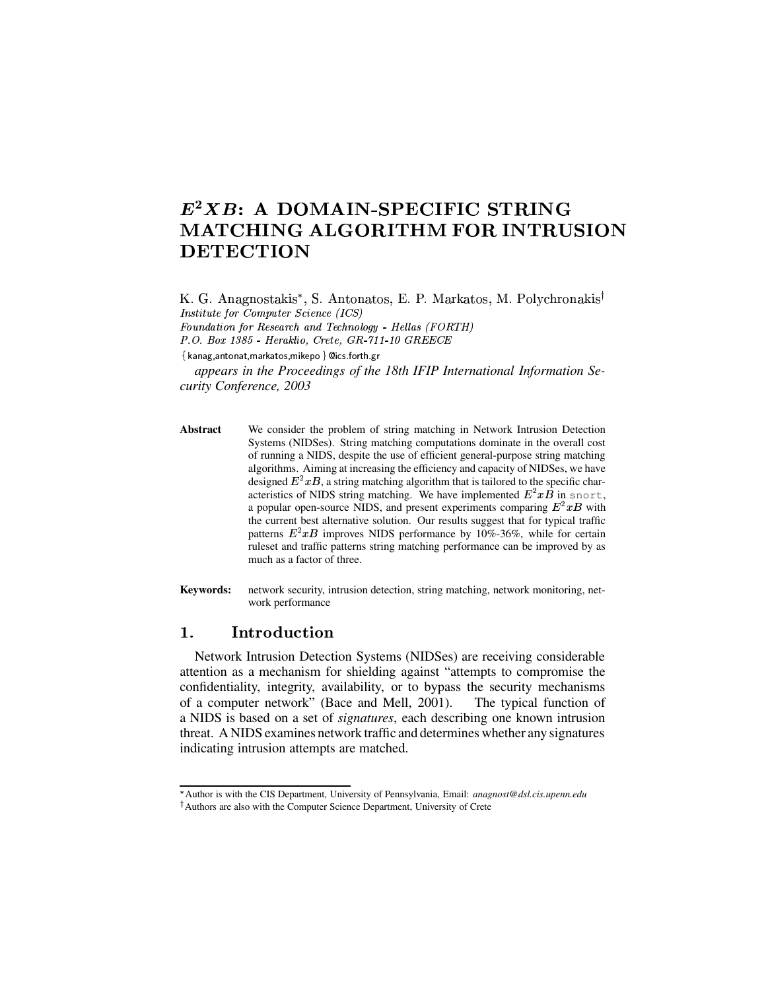# $E^2XB$ : A DOMAIN-SPECIFIC STRING **MATCHING ALGORITHM FOR INTRUSION DETECTION**

K. G. Anagnostakis\*, S. Antonatos, E. P. Markatos, M. Polychronakis<sup>†</sup> Institute for Computer Science (ICS) Foundation for Research and Technology - Hellas (FORTH)

P.O. Box 1385 - Heraklio, Crete, GR-711-10 GREECE

{kanag,antonat,markatos,mikepo } @ics.forth.gr

appears in the Proceedings of the 18th IFIP International Information Security Conference, 2003

- **Abstract** We consider the problem of string matching in Network Intrusion Detection Systems (NIDSes). String matching computations dominate in the overall cost of running a NIDS, despite the use of efficient general-purpose string matching algorithms. Aiming at increasing the efficiency and capacity of NIDSes, we have designed  $E^2xB$ , a string matching algorithm that is tailored to the specific characteristics of NIDS string matching. We have implemented  $E^2 x B$  in snort, a popular open-source NIDS, and present experiments comparing  $E^2 x B$  with the current best alternative solution. Our results suggest that for typical traffic patterns  $E^2xB$  improves NIDS performance by 10%-36%, while for certain ruleset and traffic patterns string matching performance can be improved by as much as a factor of three.
- Keywords: network security, intrusion detection, string matching, network monitoring, network performance

#### 1. Introduction

Network Intrusion Detection Systems (NIDSes) are receiving considerable attention as a mechanism for shielding against "attempts to compromise the confidentiality, integrity, availability, or to bypass the security mechanisms of a computer network" (Bace and Mell, 2001). The typical function of a NIDS is based on a set of *signatures*, each describing one known intrusion threat. A NIDS examines network traffic and determines whether any signatures indicating intrusion attempts are matched.

<sup>\*</sup> Author is with the CIS Department, University of Pennsylvania, Email: anagnost@dsl.cis.upenn.edu <sup>†</sup>Authors are also with the Computer Science Department, University of Crete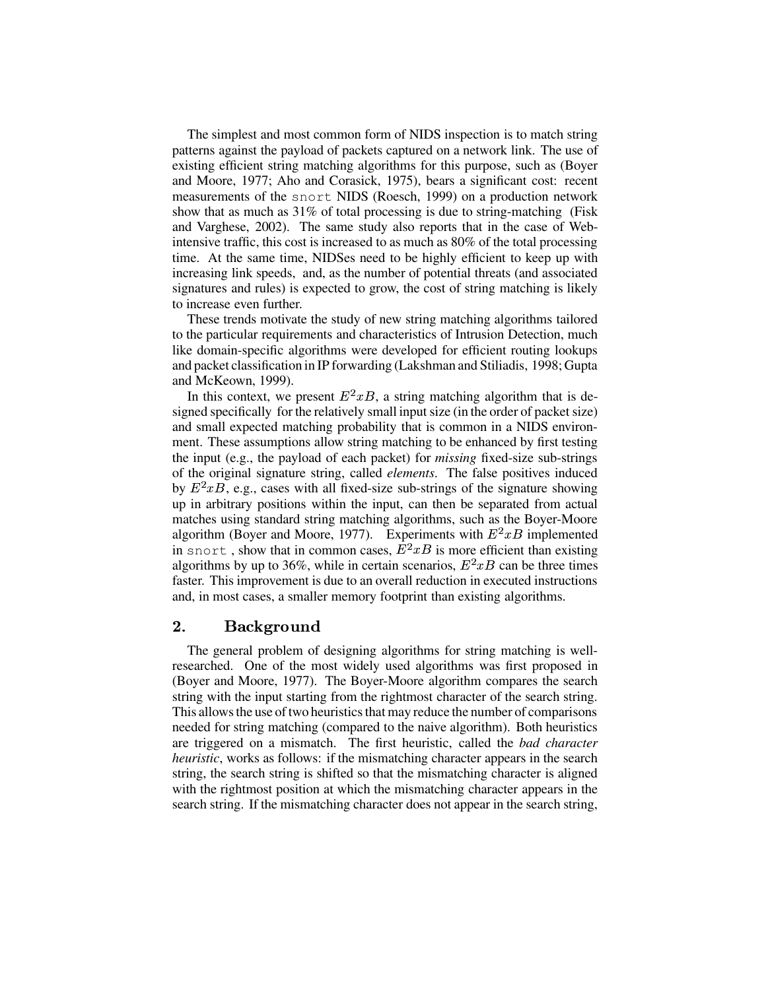The simplest and most common form of NIDS inspection is to match string patterns against the payload of packets captured on a network link. The use of existing efficient string matching algorithms for this purpose, such as (Boyer and Moore, 1977; Aho and Corasick, 1975), bears a significant cost: recent measurements of the snort NIDS (Roesch, 1999) on a production network show that as much as 31% of total processing is due to string-matching (Fisk and Varghese, 2002). The same study also reports that in the case of Webintensive traffic, this cost is increased to as much as 80% of the total processing time. At the same time, NIDSes need to be highly efficient to keep up with increasing link speeds, and, as the number of potential threats (and associated signatures and rules) is expected to grow, the cost of string matching is likely to increase even further.

These trends motivate the study of new string matching algorithms tailored to the particular requirements and characteristics of Intrusion Detection, much like domain-specific algorithms were developed for efficient routing lookups and packet classification in IP forwarding (Lakshman and Stiliadis, 1998; Gupta and McKeown, 1999).

In this context, we present  $E^2 x B$ , a string matching algorithm that is designed specifically for the relatively small input size (in the order of packet size) and small expected matching probability that is common in a NIDS environment. These assumptions allow string matching to be enhanced by first testing the input (e.g., the payload of each packet) for *missing* fixed-size sub-strings of the original signature string, called *elements*. The false positives induced by  $E^2xB$ , e.g., cases with all fixed-size sub-strings of the signature showing up in arbitrary positions within the input, can then be separated from actual matches using standard string matching algorithms, such as the Boyer-Moore algorithm (Boyer and Moore, 1977). Experiments with  $E^2xB$  implemented in snort, show that in common cases,  $E^2xB$  is more efficient than existing algorithms by up to 36%, while in certain scenarios,  $E^2 x B$  can be three times faster. This improvement is due to an overall reduction in executed instructions and, in most cases, a smaller memory footprint than existing algorithms.

#### $\overline{2}$ . Background

The general problem of designing algorithms for string matching is wellresearched. One of the most widely used algorithms was first proposed in (Boyer and Moore, 1977). The Boyer-Moore algorithm compares the search string with the input starting from the rightmost character of the search string. This allows the use of two heuristics that may reduce the number of comparisons needed for string matching (compared to the naive algorithm). Both heuristics are triggered on a mismatch. The first heuristic, called the *bad character heuristic*, works as follows: if the mismatching character appears in the search string, the search string is shifted so that the mismatching character is aligned with the rightmost position at which the mismatching character appears in the search string. If the mismatching character does not appear in the search string,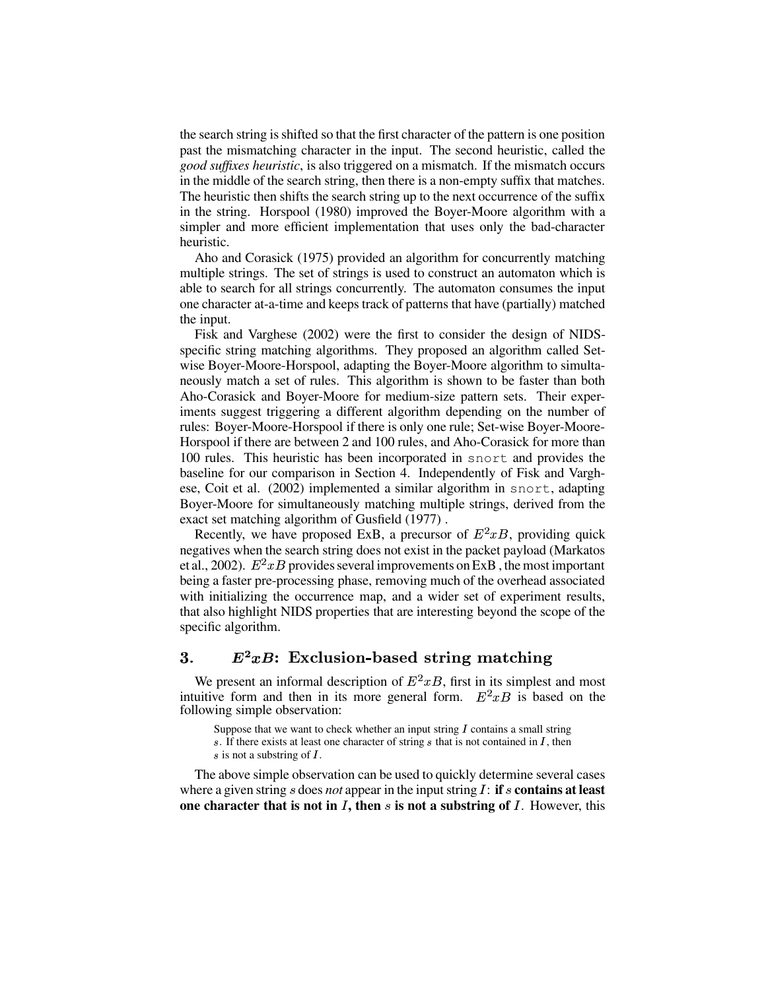the search string isshifted so that the first character of the pattern is one position past the mismatching character in the input. The second heuristic, called the *good suffixes heuristic*, is also triggered on a mismatch. If the mismatch occurs in the middle of the search string, then there is a non-empty suffix that matches. The heuristic then shifts the search string up to the next occurrence of the suffix in the string. Horspool (1980) improved the Boyer-Moore algorithm with a simpler and more efficient implementation that uses only the bad-character heuristic.

Aho and Corasick (1975) provided an algorithm for concurrently matching multiple strings. The set of strings is used to construct an automaton which is able to search for all strings concurrently. The automaton consumes the input one character at-a-time and keeps track of patterns that have (partially) matched the input.

Fisk and Varghese (2002) were the first to consider the design of NIDSspecific string matching algorithms. They proposed an algorithm called Setwise Boyer-Moore-Horspool, adapting the Boyer-Moore algorithm to simultaneously match a set of rules. This algorithm is shown to be faster than both Aho-Corasick and Boyer-Moore for medium-size pattern sets. Their experiments suggest triggering a different algorithm depending on the number of rules: Boyer-Moore-Horspool if there is only one rule; Set-wise Boyer-Moore-Horspool if there are between 2 and 100 rules, and Aho-Corasick for more than 100 rules. This heuristic has been incorporated in snort and provides the baseline for our comparison in Section 4. Independently of Fisk and Varghese, Coit et al. (2002) implemented a similar algorithm in snort, adapting Boyer-Moore for simultaneously matching multiple strings, derived from the exact set matching algorithm of Gusfield (1977) .

Recently, we have proposed ExB, a precursor of  $E^2 xB$ , providing quick negatives when the search string does not exist in the packet payload (Markatos et al., 2002).  $E^2xB$  provides several improvements on ExB, the most important being a faster pre-processing phase, removing much of the overhead associated with initializing the occurrence map, and a wider set of experiment results, that also highlight NIDS properties that are interesting beyond the scope of the specific algorithm.

#### $\bf{3.}$  $E^2xB$ : Exclusion-based string matching

We present an informal description of  $E^2 xB$ , first in its simplest and most intuitive form and then in its more general form.  $E^2 x B$  is based on the following simple observation:

Suppose that we want to check whether an input string  $I$  contains a small string s. If there exists at least one character of string  $s$  that is not contained in  $I$ , then  $s$  is not a substring of  $I$ .

The above simple observation can be used to quickly determine several cases where a given string  $s$  does *not* appear in the input string  $I$ : **if**  $s$  **contains at least one character that is not in** <sup>ð</sup>**, then** <sup>ï</sup> **is not asubstring of** <sup>ð</sup>. However, this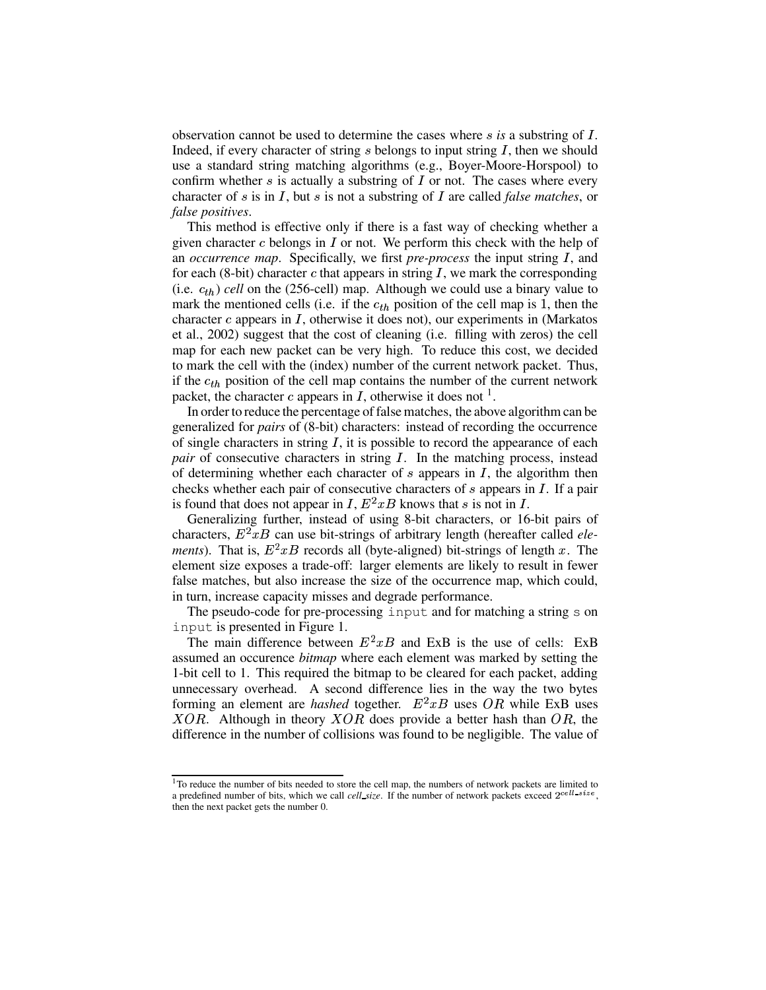observation cannot be used to determine the cases where  $s$  *is* a substring of  $I$ . Indeed, if every character of string  $s$  belongs to input string  $I$ , then we should use a standard string matching algorithms (e.g., Boyer-Moore-Horspool) to confirm whether s is actually a substring of  $I$  or not. The cases where every character of s is in  $\overline{I}$ , but s is not a substring of  $\overline{I}$  are called *false matches*, or *false positives*.

This method is effective only if there is a fast way of checking whether a given character  $c$  belongs in  $I$  or not. We perform this check with the help of an *occurrence map*. Specifically, we first *pre-process* the input string *I*, and for each (8-bit) character  $c$  that appears in string  $I$ , we mark the corresponding (i.e.  $c_{th}$ ) *cell* on the (256-cell) map. Although we could use a binary value to mark the mentioned cells (i.e. if the  $c_{th}$  position of the cell map is 1, then the character  $c$  appears in  $I$ , otherwise it does not), our experiments in (Markatos et al., 2002) suggest that the cost of cleaning (i.e. filling with zeros) the cell map for each new packet can be very high. To reduce this cost, we decided to mark the cell with the (index) number of the current network packet. Thus, if the  $c_{th}$  position of the cell map contains the number of the current network packet, the character c appears in  $I$ , otherwise it does not <sup>1</sup>.

In order to reduce the percentage of false matches, the above algorithm can be generalized for *pairs* of (8-bit) characters: instead of recording the occurrence of single characters in string  $I$ , it is possible to record the appearance of each *pair* of consecutive characters in string *I*. In the matching process, instead of determining whether each character of  $s$  appears in  $I$ , the algorithm then checks whether each pair of consecutive characters of  $s$  appears in  $I$ . If a pair is found that does not appear in I,  $E^2 x B$  knows that s is not in I.

Generalizing further, instead of using 8-bit characters, or 16-bit pairs of characters,  $E^2 x B$  can use bit-strings of arbitrary length (hereafter called *elements*). That is,  $E^2 x B$  records all (byte-aligned) bit-strings of length x. The element size exposes a trade-off: larger elements are likely to result in fewer false matches, but also increase the size of the occurrence map, which could, in turn, increase capacity misses and degrade performance.

The pseudo-code for pre-processing input and for matching a string s on input is presented in Figure 1.

The main difference between  $E^2 x B$  and ExB is the use of cells: ExB assumed an occurence *bitmap* where each element was marked by setting the 1-bit cell to 1. This required the bitmap to be cleared for each packet, adding unnecessary overhead. A second difference lies in the way the two bytes forming an element are *hashed* together.  $E^2 x B$  uses  $\overline{OR}$  while ExB uses  $XOR$ . Although in theory  $XOR$  does provide a better hash than  $OR$ , the difference in the number of collisions was found to be negligible. The value of

<sup>&</sup>lt;sup>1</sup>To reduce the number of bits needed to store the cell map, the numbers of network packets are limited to a predefined number of bits, which we call *cell* size. If the number of network packets exceed  $2^{ce\,ll}e^{i\theta}$ , then the next packet gets the number 0.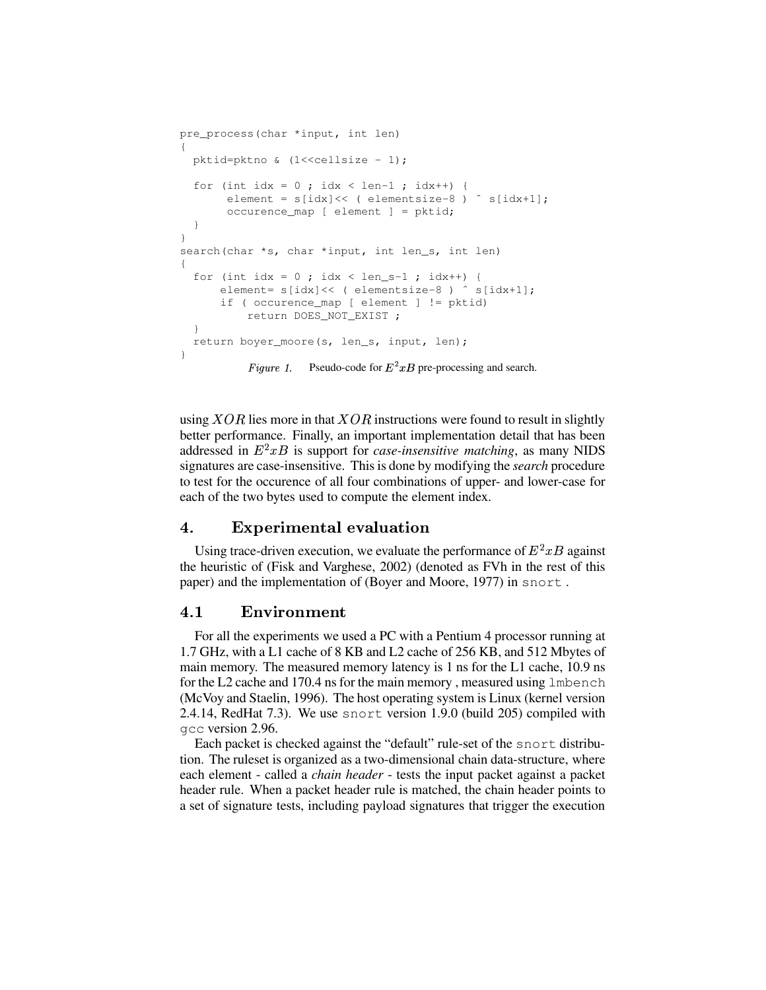```
pre_process(char *input, int len)
\left\{ \right.pktid=pktno & (1 << cellsize - 1);
  for (int idx = 0 ; idx < len-1 ; idx++) {
       element = s[idx] << ( elementsize-8 ) ^ s[idx+1];
       occurence_map [ element ] = pktid;
  \}\mathcal{E}search(char *s, char *input, int len_s, int len)
\{for (int idx = 0 ; idx < len_s-1 ; idx++) {
       element= s[idx]<< ( elementsize-8 ) ^ s[idx+1];
       if ( occurence_map [ element ] != pktid)
           return DOES_NOT_EXIST ;
  \left\{\right.return boyer_moore(s, len_s, input, len);
\mathcal{E}Figure 1. Pseudo-code for E^2 x B pre-processing and search.
```
using  $XOR$  lies more in that  $XOR$  instructions were found to result in slightly better performance. Finally, an important implementation detail that has been addressed in  $E^2xB$  is support for *case-insensitive matching*, as many NIDS signatures are case-insensitive. This is done by modifying the search procedure to test for the occurence of all four combinations of upper- and lower-case for each of the two bytes used to compute the element index.

#### 4. **Experimental evaluation**

Using trace-driven execution, we evaluate the performance of  $E^2 x B$  against the heuristic of (Fisk and Varghese, 2002) (denoted as FVh in the rest of this paper) and the implementation of (Boyer and Moore, 1977) in snort.

#### $4.1$ Environment

For all the experiments we used a PC with a Pentium 4 processor running at 1.7 GHz, with a L1 cache of 8 KB and L2 cache of 256 KB, and 512 Mbytes of main memory. The measured memory latency is 1 ns for the L1 cache, 10.9 ns for the L2 cache and 170.4 ns for the main memory, measured using  $l$ mbench (McVoy and Staelin, 1996). The host operating system is Linux (kernel version 2.4.14, RedHat 7.3). We use snort version 1.9.0 (build 205) compiled with qcc version 2.96.

Each packet is checked against the "default" rule-set of the snort distribution. The ruleset is organized as a two-dimensional chain data-structure, where each element - called a *chain header* - tests the input packet against a packet header rule. When a packet header rule is matched, the chain header points to a set of signature tests, including payload signatures that trigger the execution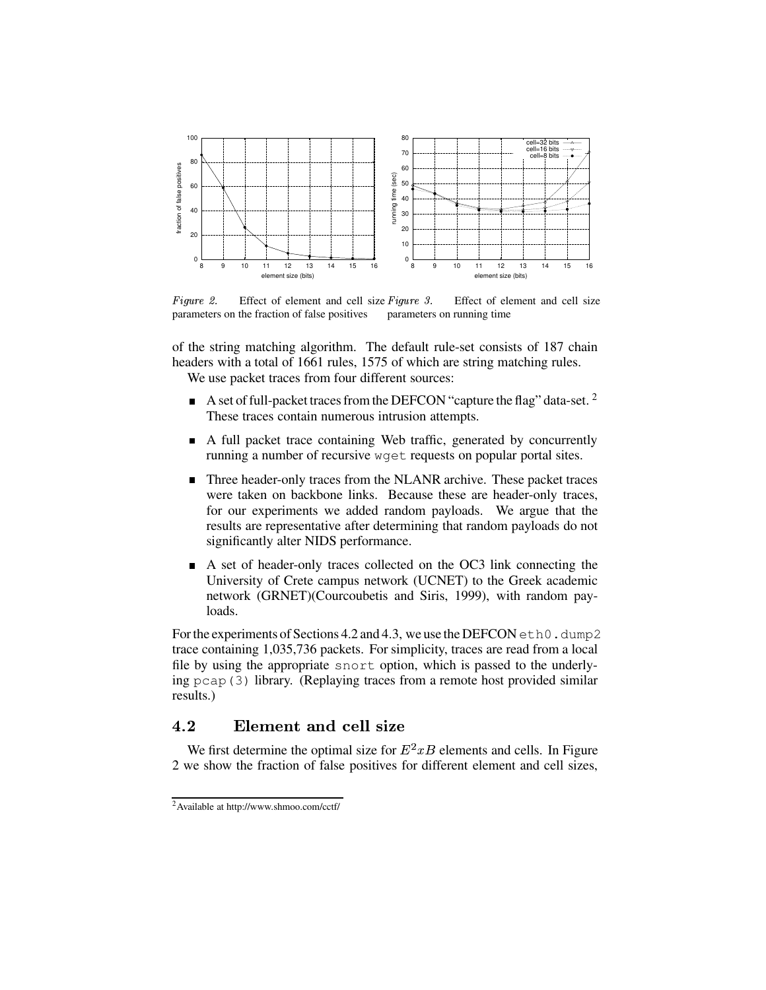

Figure 2. Effect of element and cell size  $Figure 3$ . Effect of element and cell size parameters on running time parameters on the fraction of false positives

of the string matching algorithm. The default rule-set consists of 187 chain headers with a total of 1661 rules, 1575 of which are string matching rules. We use packet traces from four different sources:

- A set of full-packet traces from the DEFCON "capture the flag" data-set. <sup>2</sup> These traces contain numerous intrusion attempts.
- A full packet trace containing Web traffic, generated by concurrently running a number of recursive woret requests on popular portal sites.
- Three header-only traces from the NLANR archive. These packet traces were taken on backbone links. Because these are header-only traces, for our experiments we added random payloads. We argue that the results are representative after determining that random payloads do not significantly alter NIDS performance.
- A set of header-only traces collected on the OC3 link connecting the  $\blacksquare$ University of Crete campus network (UCNET) to the Greek academic network (GRNET)(Courcoubetis and Siris, 1999), with random payloads.

For the experiments of Sections 4.2 and 4.3, we use the DEFCON eth0.dump2 trace containing 1,035,736 packets. For simplicity, traces are read from a local file by using the appropriate snort option, which is passed to the underlying pcap (3) library. (Replaying traces from a remote host provided similar results.)

#### $4.2$ Element and cell size

We first determine the optimal size for  $E^2xB$  elements and cells. In Figure 2 we show the fraction of false positives for different element and cell sizes,

<sup>&</sup>lt;sup>2</sup>Available at http://www.shmoo.com/cctf/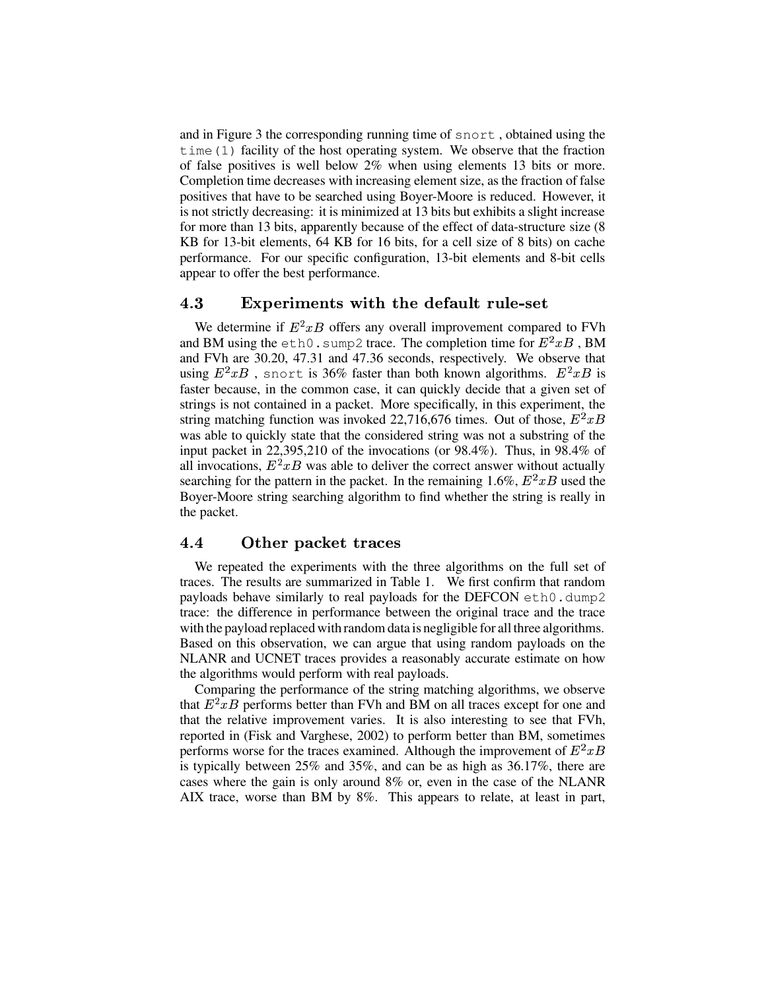and in Figure 3 the corresponding running time of snort , obtained using the time(1) facility of the host operating system. We observe that the fraction of false positives is well below 2% when using elements 13 bits or more. Completion time decreases with increasing element size, as the fraction of false positives that have to be searched using Boyer-Moore is reduced. However, it is not strictly decreasing: it is minimized at 13 bits but exhibits a slight increase for more than 13 bits, apparently because of the effect of data-structure size (8 KB for 13-bit elements, 64 KB for 16 bits, for a cell size of 8 bits) on cache performance. For our specific configuration, 13-bit elements and 8-bit cells appear to offer the best performance.

#### 4.3 áäãÑé Ã:Éêé ÁzÂkæ ÉBÂkì ÂFìÇéÅÇé}ÔPÆÙåBÂ+Ã:ÆÇåésçJæké Â

We determine if  $E^2 x B$  offers any overall improvement compared to FVh and BM using the eth0.sump2 trace. The completion time for  $E^2xB$ , BM and FVh are 30.20, 47.31 and 47.36 seconds, respectively. We observe that using  $E^2xB$ , snort is 36% faster than both known algorithms.  $E^2xB$  is faster because, in the common case, it can quickly decide that a given set of strings is not contained in a packet. More specifically, in this experiment, the string matching function was invoked 22,716,676 times. Out of those,  $E^2xB$ was able to quickly state that the considered string was not a substring of the input packet in 22,395,210 of the invocations (or 98.4%). Thus, in 98.4% of all invocations,  $E^2xB$  was able to deliver the correct answer without actually searching for the pattern in the packet. In the remaining 1.6%,  $E^2xB$  used the Boyer-Moore string searching algorithm to find whether the string is really in the packet.

#### 4.4 Other packet traces

We repeated the experiments with the three algorithms on the full set of traces. The results are summarized in Table 1. We first confirm that random payloads behave similarly to real payloads for the DEFCON eth0.dump2 trace: the difference in performance between the original trace and the trace with the payload replaced with random data is negligible for all three algorithms. Based on this observation, we can argue that using random payloads on the NLANR and UCNET traces provides a reasonably accurate estimate on how the algorithms would perform with real payloads.

Comparing the performance of the string matching algorithms, we observe that  $E^2xB$  performs better than FVh and BM on all traces except for one and that the relative improvement varies. It is also interesting to see that FVh, reported in (Fisk and Varghese, 2002) to perform better than BM, sometimes performs worse for the traces examined. Although the improvement of  $E^2xB$ is typically between 25% and 35%, and can be as high as 36.17%, there are cases where the gain is only around 8% or, even in the case of the NLANR AIX trace, worse than BM by 8%. This appears to relate, at least in part,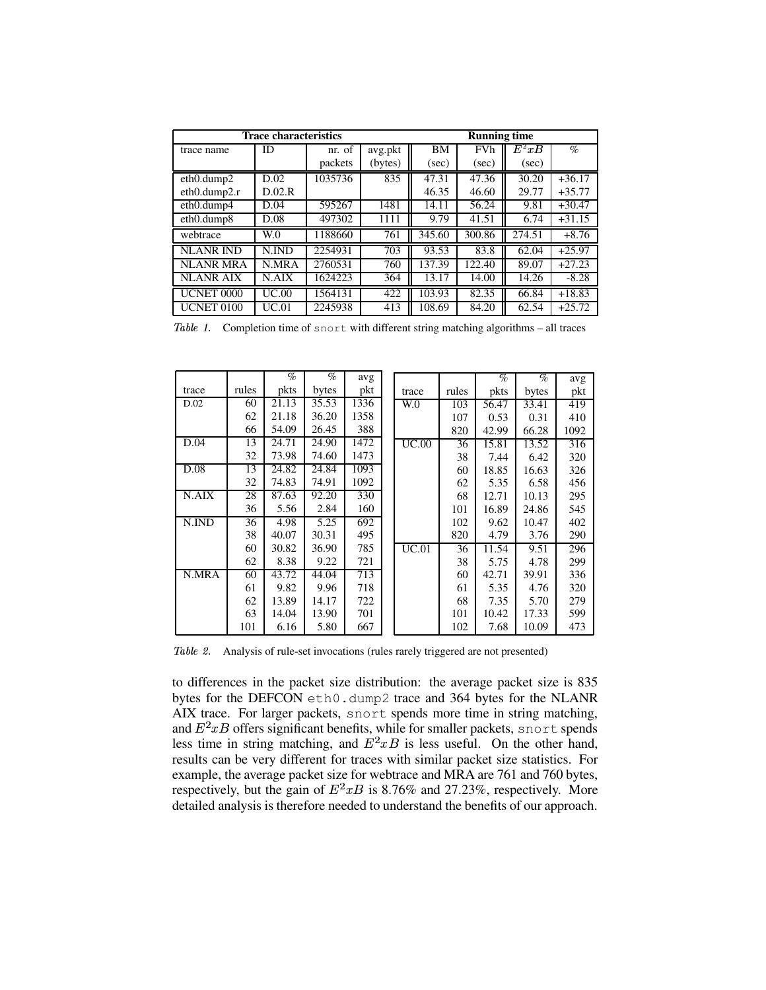| <b>Trace characteristics</b> | <b>Running time</b> |         |         |           |            |         |          |
|------------------------------|---------------------|---------|---------|-----------|------------|---------|----------|
| trace name                   | ID                  | nr. of  | avg.pkt | <b>BM</b> | <b>FVh</b> | $E^2xB$ | $\%$     |
|                              |                     | packets | (bytes) | (sec)     | (sec)      | (sec)   |          |
| $eth0.$ dump $2$             | D.02                | 1035736 | 835     | 47.31     | 47.36      | 30.20   | $+36.17$ |
| $eth0.$ dump2.r              | D.02.R              |         |         | 46.35     | 46.60      | 29.77   | $+35.77$ |
| eth0.dump4                   | D.04                | 595267  | 1481    | 14.11     | 56.24      | 9.81    | $+30.47$ |
| eth0.dump8                   | D.08                | 497302  | 1111    | 9.79      | 41.51      | 6.74    | $+31.15$ |
| webtrace                     | W <sub>0</sub>      | 1188660 | 761     | 345.60    | 300.86     | 274.51  | $+8.76$  |
| <b>NLANR IND</b>             | N.IND               | 2254931 | 703     | 93.53     | 83.8       | 62.04   | $+25.97$ |
| <b>NLANR MRA</b>             | N.MRA               | 2760531 | 760     | 137.39    | 122.40     | 89.07   | $+27.23$ |
| <b>NLANR AIX</b>             | N.AIX               | 1624223 | 364     | 13.17     | 14.00      | 14.26   | $-8.28$  |
| UCNET 0000                   | UC.00               | 1564131 | 422     | 103.93    | 82.35      | 66.84   | $+18.83$ |
| <b>UCNET 0100</b>            | UC.01               | 2245938 | 413     | 108.69    | 84.20      | 62.54   | $+25.72$ |

Table 1. Completion time of snort with different string matching algorithms – all traces

|       |       | $\%$  | $\%$  | avg  |                |       | $\%$  | $\%$  | avg  |
|-------|-------|-------|-------|------|----------------|-------|-------|-------|------|
| trace | rules | pkts  | bytes | pkt  | trace          | rules | pkts  | bytes | pkt  |
| D.02  | 60    | 21.13 | 35.53 | 1336 | W <sub>0</sub> | 103   | 56.47 | 33.41 | 419  |
|       | 62    | 21.18 | 36.20 | 1358 |                | 107   | 0.53  | 0.31  | 410  |
|       | 66    | 54.09 | 26.45 | 388  |                | 820   | 42.99 | 66.28 | 1092 |
| D.04  | 13    | 24.71 | 24.90 | 1472 | UC.00          | 36    | 15.81 | 13.52 | 316  |
|       | 32    | 73.98 | 74.60 | 1473 |                | 38    | 7.44  | 6.42  | 320  |
| D.08  | 13    | 24.82 | 24.84 | 1093 |                | 60    | 18.85 | 16.63 | 326  |
|       | 32    | 74.83 | 74.91 | 1092 |                | 62    | 5.35  | 6.58  | 456  |
| N.AIX | 28    | 87.63 | 92.20 | 330  |                | 68    | 12.71 | 10.13 | 295  |
|       | 36    | 5.56  | 2.84  | 160  |                | 101   | 16.89 | 24.86 | 545  |
| N.IND | 36    | 4.98  | 5.25  | 692  |                | 102   | 9.62  | 10.47 | 402  |
|       | 38    | 40.07 | 30.31 | 495  |                | 820   | 4.79  | 3.76  | 290  |
|       | 60    | 30.82 | 36.90 | 785  | UC.01          | 36    | 11.54 | 9.51  | 296  |
|       | 62    | 8.38  | 9.22  | 721  |                | 38    | 5.75  | 4.78  | 299  |
| N.MRA | 60    | 43.72 | 44.04 | 713  |                | 60    | 42.71 | 39.91 | 336  |
|       | 61    | 9.82  | 9.96  | 718  |                | 61    | 5.35  | 4.76  | 320  |
|       | 62    | 13.89 | 14.17 | 722  |                | 68    | 7.35  | 5.70  | 279  |
|       | 63    | 14.04 | 13.90 | 701  |                | 101   | 10.42 | 17.33 | 599  |
|       | 101   | 6.16  | 5.80  | 667  |                | 102   | 7.68  | 10.09 | 473  |

Table 2. Analysis of rule-set invocations (rules rarely triggered are not presented)

to differences in the packet size distribution: the average packet size is 835 bytes for the DEFCON eth0.dump2 trace and 364 bytes for the NLANR AIX trace. For larger packets, snort spends more time in string matching, and  $E^2xB$  offers significant benefits, while for smaller packets, snort spends less time in string matching, and  $E^2 x B$  is less useful. On the other hand, results can be very different for traces with similar packet size statistics. For example, the average packet size for webtrace and MRA are 761 and 760 bytes, respectively, but the gain of  $E^2xB$  is 8.76% and 27.23%, respectively. More detailed analysis is therefore needed to understand the benefits of our approach.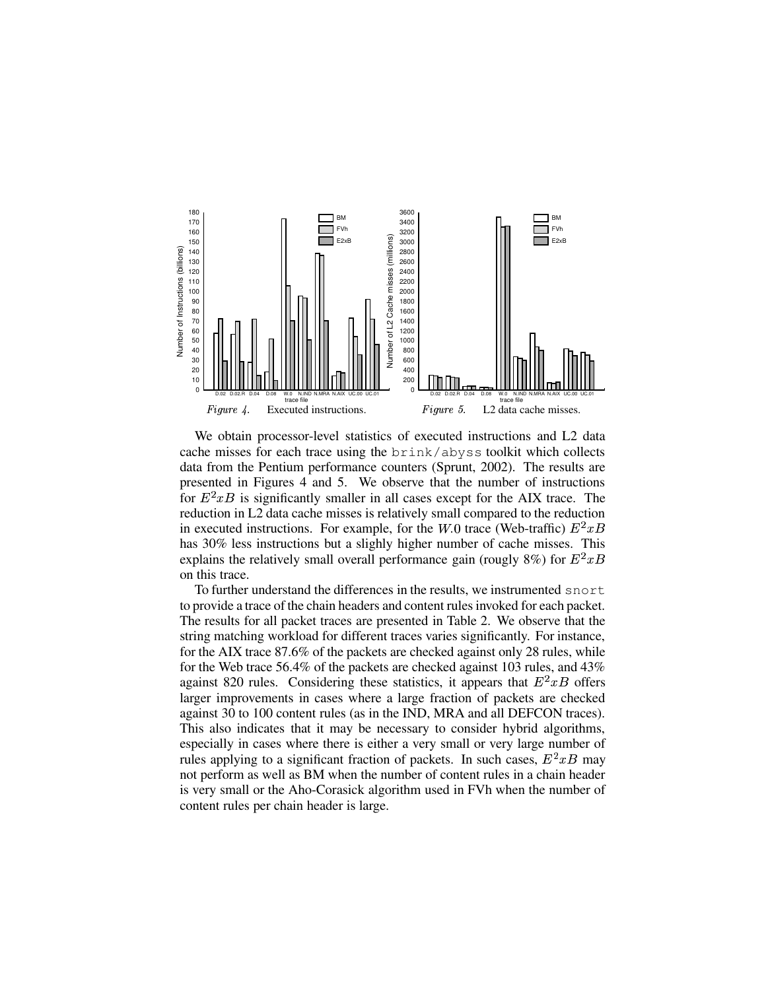

We obtain processor-level statistics of executed instructions and L2 data cache misses for each trace using the brink/abyss toolkit which collects data from the Pentium performance counters (Sprunt, 2002). The results are presented in Figures 4 and 5. We observe that the number of instructions for  $E^2xB$  is significantly smaller in all cases except for the AIX trace. The reduction in L2 data cache misses is relatively small compared to the reduction in executed instructions. For example, for the W.0 trace (Web-traffic)  $E^2xB$ has 30% less instructions but a slighly higher number of cache misses. This explains the relatively small overall performance gain (rougly 8%) for  $E^2xB$ on this trace.

To further understand the differences in the results, we instrumented snort to provide a trace of the chain headers and content rules invoked for each packet. The results for all packet traces are presented in Table 2. We observe that the string matching workload for different traces varies significantly. For instance, for the AIX trace 87.6% of the packets are checked against only 28 rules, while for the Web trace 56.4% of the packets are checked against 103 rules, and 43% against 820 rules. Considering these statistics, it appears that  $E^2xB$  offers larger improvements in cases where a large fraction of packets are checked against 30 to 100 content rules (as in the IND, MRA and all DEFCON traces). This also indicates that it may be necessary to consider hybrid algorithms, especially in cases where there is either a very small or very large number of rules applying to a significant fraction of packets. In such cases,  $E^2 x B$  may not perform as well as BM when the number of content rules in a chain header is very small or the Aho-Corasick algorithm used in FVh when the number of content rules per chain header is large.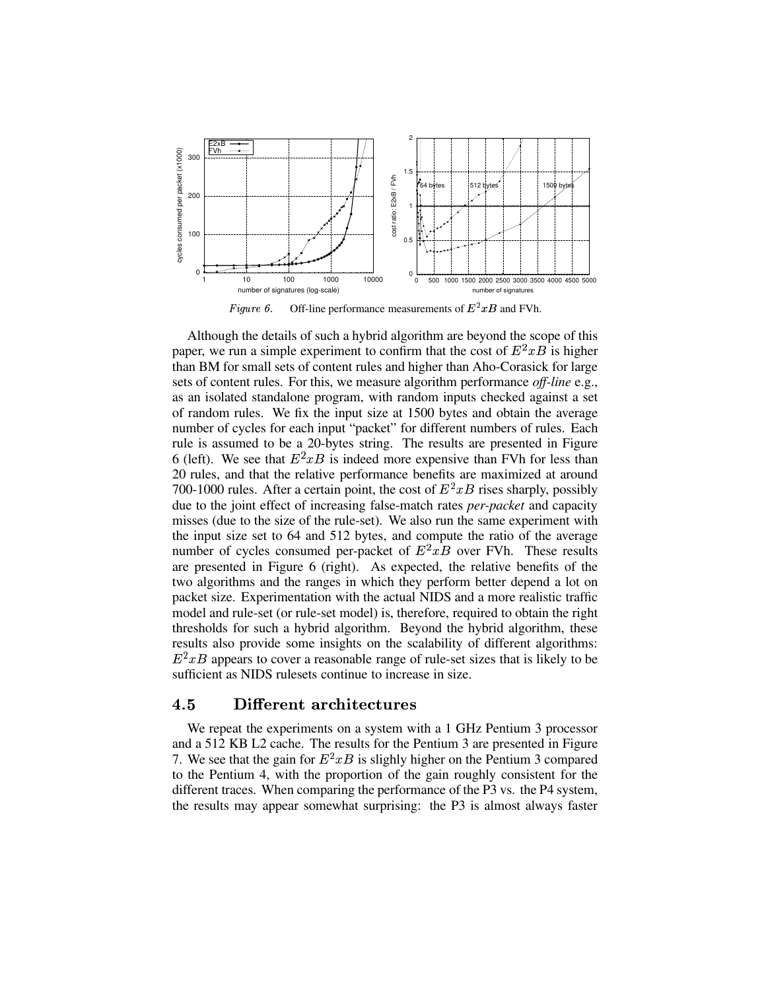

Figure 6. Off-line performance measurements of  $E^2xB$  and FVh.

Although the details of such a hybrid algorithm are beyond the scope of this paper, we run a simple experiment to confirm that the cost of  $E^2xB$  is higher than BM for small sets of content rules and higher than Aho-Corasick for large sets of content rules. For this, we measure algorithm performance *off-line* e.g., as an isolated standalone program, with random inputs checked against a set of random rules. We fix the input size at 1500 bytes and obtain the average number of cycles for each input "packet" for different numbers of rules. Each rule is assumed to be a 20-bytes string. The results are presented in Figure 6 (left). We see that  $E^2 x B$  is indeed more expensive than FVh for less than 20 rules, and that the relative performance benefits are maximized at around 700-1000 rules. After a certain point, the cost of  $E^2xB$  rises sharply, possibly due to the joint effect of increasing false-match rates *per-packet* and capacity misses (due to the size of the rule-set). We also run the same experiment with the input size set to 64 and 512 bytes, and compute the ratio of the average number of cycles consumed per-packet of  $E^2 x B$  over FVh. These results are presented in Figure 6 (right). As expected, the relative benefits of the two algorithms and the ranges in which they perform better depend a lot on packet size. Experimentation with the actual NIDS and a more realistic traffic model and rule-set (or rule-set model) is, therefore, required to obtain the right thresholds for such a hybrid algorithm. Beyond the hybrid algorithm, these results also provide some insights on the scalability of different algorithms:  $E^2xB$  appears to cover a reasonable range of rule-set sizes that is likely to be sufficient as NIDS rulesets continue to increase in size.

# 4.5 Different architectures

We repeat the experiments on a system with a 1 GHz Pentium 3 processor and a 512 KB L2 cache. The results for the Pentium 3 are presented in Figure 7. We see that the gain for  $E^2xB$  is slighly higher on the Pentium 3 compared to the Pentium 4, with the proportion of the gain roughly consistent for the different traces. When comparing the performance of the P3 vs. the P4 system, the results may appear somewhat surprising: the P3 is almost always faster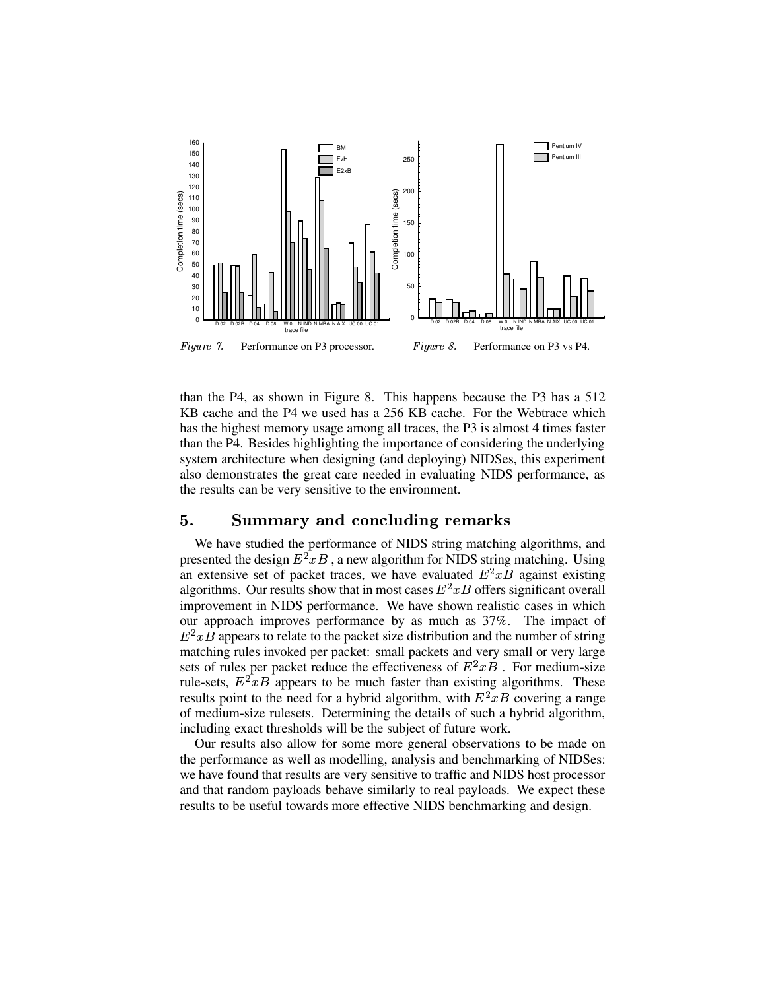

than the P4, as shown in Figure 8. This happens because the P3 has a 512 KB cache and the P4 we used has a 256 KB cache. For the Webtrace which has the highest memory usage among all traces, the P3 is almost 4 times faster than the P4. Besides highlighting the importance of considering the underlying system architecture when designing (and deploying) NIDSes, this experiment also demonstrates the great care needed in evaluating NIDS performance, as the results can be very sensitive to the environment.

# 5. Summary and concluding remarks

We have studied the performance of NIDS string matching algorithms, and presented the design  $E^2 x B$ , a new algorithm for NIDS string matching. Using an extensive set of packet traces, we have evaluated  $E^2xB$  against existing algorithms. Our results show that in most cases  $E^2 x B$  offers significant overall improvement in NIDS performance. We have shown realistic cases in which our approach improves performance by as much as 37%. The impact of  $E^2xB$  appears to relate to the packet size distribution and the number of string matching rules invoked per packet: small packets and very small or very large sets of rules per packet reduce the effectiveness of  $E^2 x \overline{B}$ . For medium-size rule-sets,  $E^2 x B$  appears to be much faster than existing algorithms. These results point to the need for a hybrid algorithm, with  $E^2xB$  covering a range of medium-size rulesets. Determining the details of such a hybrid algorithm, including exact thresholds will be the subject of future work.

Our results also allow for some more general observations to be made on the performance as well as modelling, analysis and benchmarking of NIDSes: we have found that results are very sensitive to traffic and NIDS host processor and that random payloads behave similarly to real payloads. We expect these results to be useful towards more effective NIDS benchmarking and design.